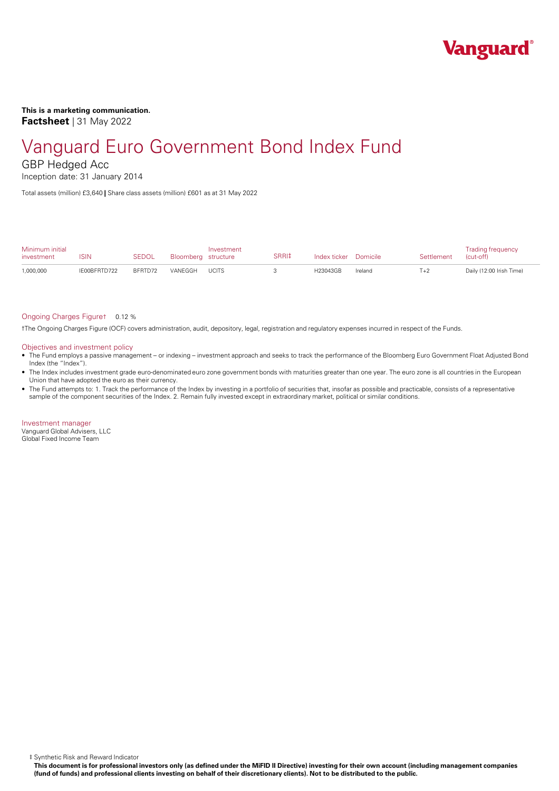

**This is a marketing communication. Factsheet** | 31 May 2022

# Vanguard Euro Government Bond Index Fund

GBP Hedged Acc

Inception date: 31 January 2014

Total assets (million) £3,640 **|** Share class assets (million) £601 as at 31 May 2022

| Minimum initial<br>investment | ISIN         | SEDOL   | Bloomberg structure | Investment   | SRRI‡ | Index ticker Domicile |         | Settlement | <b>Trading frequency</b><br>(cut-off) |
|-------------------------------|--------------|---------|---------------------|--------------|-------|-----------------------|---------|------------|---------------------------------------|
| 1,000,000                     | IE00BFRTD722 | BFRTD72 | VANFGGH             | <b>UCITS</b> |       | H23043GB              | Ireland | $T+2$      | Daily (12:00 Irish Time)              |

#### Ongoing Charges Figure† 0.12 %

†The Ongoing Charges Figure (OCF) covers administration, audit, depository, legal, registration and regulatory expenses incurred in respect of the Funds.

#### Objectives and investment policy

- The Fund employs a passive management orindexing investment approach and seeks to track the performance of the Bloomberg Euro Government Float Adjusted Bond Index (the "Index").
- The Index includes investment grade euro-denominated euro zone government bonds with maturities greater than one year. The euro zone is all countries in the European Union that have adopted the euro as their currency.
- The Fund attempts to: 1. Track the performance of the Index by investing in a portfolio of securities that, insofar as possible and practicable, consists of a representative sample of the component securities of the Index. 2. Remain fully invested except in extraordinary market, political or similar conditions.

Investment manager Vanguard Global Advisers, LLC Global Fixed Income Team

‡ Synthetic Risk and Reward Indicator

This document is for professional investors only (as defined under the MiFID II Directive) investing for their own account (including management companies (fund of funds) and professional clients investing on behalf of their discretionary clients). Not to be distributed to the public.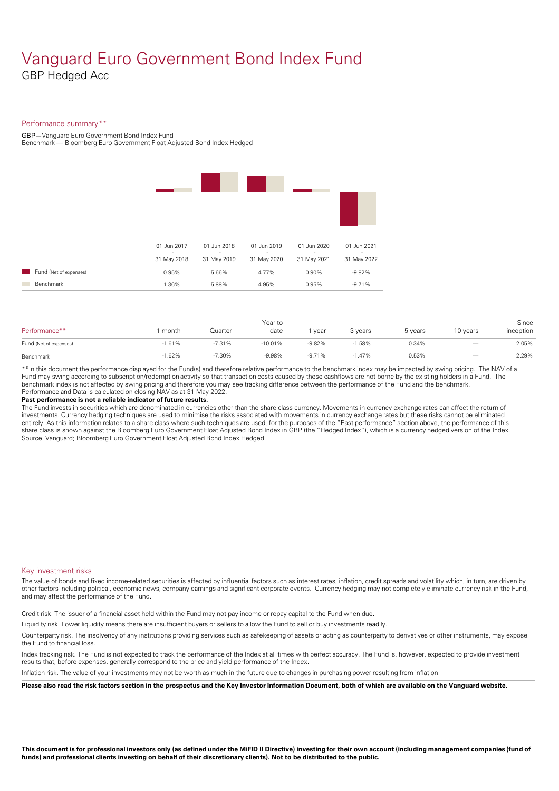### Vanguard Euro Government Bond Index Fund GBP Hedged Acc

#### Performance summary\*\*

GBP**—**Vanguard Euro Government Bond Index Fund

Benchmark — Bloomberg Euro Government Float Adjusted Bond Index Hedged

|                        | 01 Jun 2017                             | 01 Jun 2018           | 01 Jun 2019           | 01 Jun 2020                             | 01 Jun 2021           |
|------------------------|-----------------------------------------|-----------------------|-----------------------|-----------------------------------------|-----------------------|
|                        | $\overline{\phantom{a}}$<br>31 May 2018 | $\sim$<br>31 May 2019 | $\sim$<br>31 May 2020 | $\overline{\phantom{a}}$<br>31 May 2021 | $\sim$<br>31 May 2022 |
| Fund (Net of expenses) | 0.95%                                   | 5.66%                 | 4.77%                 | 0.90%                                   | $-9.82%$              |
| <b>Benchmark</b>       | 1.36%                                   | 5.88%                 | 4.95%                 | 0.95%                                   | $-9.71%$              |
|                        |                                         |                       |                       |                                         |                       |

| Performance**          | month    | Quarter  | Year to<br>date | vear     | 3 years  | 5 years | 10 years                 | Since<br>inception |
|------------------------|----------|----------|-----------------|----------|----------|---------|--------------------------|--------------------|
| Fund (Net of expenses) | $-1.61%$ | $-7.31%$ | $-10.01%$       | $-9.82%$ | $-1.58%$ | 0.34%   | $\overline{\phantom{m}}$ | 2.05%              |
| Benchmark              | $-1.62%$ | $-7.30%$ | $-9.98%$        | $-9.71%$ | $-1.47%$ | 0.53%   | $\overline{\phantom{0}}$ | 2.29%              |

\*\*In this document the performance displayed for the Fund(s) and therefore relative performance to the benchmark index may be impacted by swing pricing. The NAV of a Fund may swing according to subscription/redemption activity so that transaction costs caused by these cashflows are notborne by the existing holders in a Fund. The benchmark index is not affected by swing pricing and therefore you may see tracking difference between the performance of the Fund and the benchmark. Performance and Data is calculated on closing NAV as at 31 May 2022.

#### **Past performance is not a reliable indicator of future results.**

The Fund invests in securities which are denominated in currencies other than the share class currency. Movements in currency exchange rates can affect the return of investments. Currency hedging techniques are used to minimise the risks associated with movements in currency exchange rates but these risks cannot be eliminated entirely. As this information relates to a share class where such techniques are used, for the purposes of the "Past performance" section above, the performance of this share class is shown against the Bloomberg Euro Government Float Adjusted Bond Index in GBP (the "Hedged Index"), which is a currency hedged version of the Index. Source: Vanguard; Bloomberg Euro Government Float Adjusted Bond Index Hedged

#### Key investment risks

The value of bonds and fixed income-related securities is affected by influential factors such as interest rates, inflation, credit spreads and volatility which, in turn, are driven by other factors including political, economic news, company earnings and significant corporate events. Currency hedging may not completely eliminate currency risk in the Fund, and may affect the performance of the Fund.

Credit risk. The issuer of a financial asset held within the Fund may not pay income or repay capital to the Fund when due.

Liquidity risk. Lower liquidity means there are insufficient buyers or sellers to allow the Fund to sell or buy investments readily.

Counterparty risk. The insolvency ofany institutions providing services such as safekeeping of assets or acting as counterparty to derivatives or other instruments, may expose the Fund to financial loss.

Index tracking risk.The Fund is not expected to track the performance of the Index at all times with perfect accuracy. The Fund is, however, expected to provide investment results that, before expenses, generally correspond to the price and yield performance of the Index.

Inflation risk. The value of your investments may not be worth as much in the future due to changes in purchasing power resulting from inflation.

Please also read the risk factors section in the prospectus and the Key Investor Information Document, both of which are available on the Vanguard website.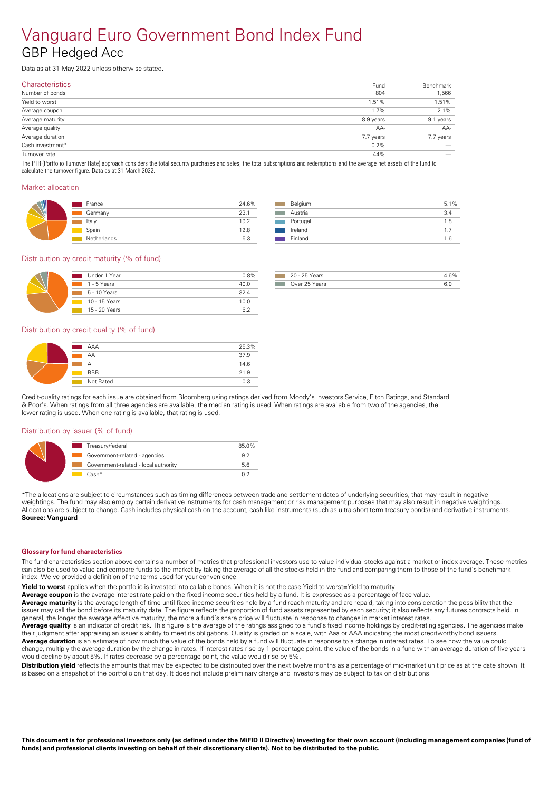### Vanguard Euro Government Bond Index Fund GBP Hedged Acc

Data as at 31 May 2022 unless otherwise stated.

| Fund      | Benchmark |
|-----------|-----------|
| 804       | 1,566     |
| 1.51%     | 1.51%     |
| 1.7%      | 2.1%      |
| 8.9 years | 9.1 years |
| AA-       | AA-       |
| 7.7 years | 7.7 years |
| 0.2%      |           |
| 44%       |           |
|           |           |

The PTR (Portfolio Turnover Rate) approach considers the total security purchases and sales, the total subscriptions and redemptions and the average net assets of the fund to calculate the turnover figure. Data as at 31 March 2022.

#### Market allocation

| France      | 24.6% |
|-------------|-------|
| Germany     | 23.1  |
| Italy       | 19.2  |
| Spain       | 12.8  |
| Netherlands | 5.3   |

| Belgium  | 5.1% |  |
|----------|------|--|
| Austria  | 3.4  |  |
| Portugal | 1.8  |  |
| Ireland  | 17   |  |
| Finland  | 1 6  |  |

#### Distribution by credit maturity (% of fund)

| Under 1 Year               | 0.8% |
|----------------------------|------|
| $\blacksquare$ 1 - 5 Years | 40.0 |
| $\Box$ 5 - 10 Years        | 324  |
| 10 - 15 Years              | 10.0 |
| 15 - 20 Years              |      |

| 20 - 25 Years |  |
|---------------|--|
| วver 25 Years |  |

#### Distribution by credit quality (% of fund)

| AAA<br>and the state of the state of the state of the state of the state of the state of the state of the state of th | 25.3% |
|-----------------------------------------------------------------------------------------------------------------------|-------|
| AA                                                                                                                    | 37.9  |
| Α                                                                                                                     | 14.6  |
| <b>BBB</b>                                                                                                            | 21.9  |
| Not Rated                                                                                                             | ሰ ?   |

Credit-quality ratings for each issue are obtained from Bloomberg using ratings derived from Moody's Investors Service, Fitch Ratings, and Standard & Poor's. When ratings from all three agencies are available, the median rating is used. When ratings are available from two of the agencies, the lower rating is used. When one rating is available, that rating is used.

#### Distribution by issuer (% of fund)

| Treasury/federal<br><b>Service Service</b> | 85.0% |
|--------------------------------------------|-------|
| Government-related - agencies              | 92    |
| Government-related - local authority       | 56    |
| $Cash*$                                    |       |

\*The allocations are subject to circumstances such as timing differences between trade and settlement dates of underlying securities, that may result in negative weightings. The fund may also employ certain derivative instruments for cash management or risk management purposes that may also result in negative weightings. Allocations are subject to change. Cash includes physical cash on the account, cash like instruments (such as ultra-short term treasury bonds) and derivative instruments. **Source: Vanguard** 

#### **Glossary for fund characteristics**

The fund characteristics section above contains a number of metrics that professional investors use to value individual stocks against a market or index average. These metrics can also be used to value and compare funds to the market by taking the average of all the stocks held in the fund and comparing them to those of the fund's benchmark index. We've provided a definition of the terms used for your convenience.

**Yield to worst** applies when the portfolio is invested into callable bonds. When it is not the case Yield to worst=Yield to maturity.

Average coupon is the average interest rate paid on the fixed income securities held by a fund. It is expressed as a percentage of face value.

**Average maturity** is the average length of time until fixed income securities held by a fund reach maturity and are repaid, taking into consideration the possibility that the issuer may call the bond before its maturity date. The figure reflects the proportion of fund assets represented by each security; it also reflects any futures contracts held. In general, the longer the average effective maturity, the more a fund's share price will fluctuate in response to changes in market interest rates.

Average quality is an indicator of credit risk. This figure is the average of the ratings assigned to a fund's fixed income holdings by credit-rating agencies. The agencies make their judgment after appraising an issuer's ability to meet its obligations. Quality is graded on a scale, with Aaa orAAA indicating the most creditworthy bond issuers. **Average duration** is an estimate of how much the value of the bonds held by a fund will fluctuate in response to a change in interest rates. To see how the value could change, multiply the average duration by the change in rates. If interest rates rise by 1 percentage point, the value of the bonds in a fund with an average duration of five years

would decline by about 5%. If rates decrease by a percentage point, the value would rise by 5%.

**Distribution vield** reflects the amounts that may be expected to be distributed over the next twelve months as a percentage of mid-market unit price as at the date shown. It is based on a snapshot of the portfolio on that day. It does not include preliminary charge and investors may be subject to tax on distributions.

This document is for professional investors only (as defined under the MiFID II Directive) investing for their own account (including management companies (fund of funds) and professional clients investing on behalf of their discretionary clients). Not to be distributed to the public.